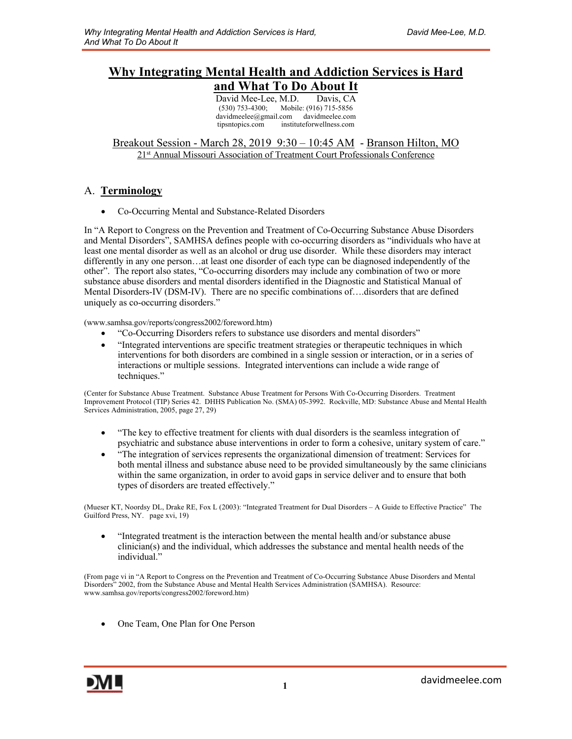## **Why Integrating Mental Health and Addiction Services is Hard and What To Do About It**

David Mee-Lee, M.D. Davis, CA<br>(530) 753-4300; Mobile: (916) 715-5856 Mobile: (916) 715-5856 davidmeelee@gmail.com davidmeelee.com tipsntopics.com instituteforwellness.com

Breakout Session - March 28, 2019 9:30 - 10:45 AM - Branson Hilton, MO 21st Annual Missouri Association of Treatment Court Professionals Conference

### A. **Terminology**

• Co-Occurring Mental and Substance-Related Disorders

In "A Report to Congress on the Prevention and Treatment of Co-Occurring Substance Abuse Disorders and Mental Disorders", SAMHSA defines people with co-occurring disorders as "individuals who have at least one mental disorder as well as an alcohol or drug use disorder. While these disorders may interact differently in any one person…at least one disorder of each type can be diagnosed independently of the other". The report also states, "Co-occurring disorders may include any combination of two or more substance abuse disorders and mental disorders identified in the Diagnostic and Statistical Manual of Mental Disorders-IV (DSM-IV). There are no specific combinations of….disorders that are defined uniquely as co-occurring disorders."

(www.samhsa.gov/reports/congress2002/foreword.htm)

- "Co-Occurring Disorders refers to substance use disorders and mental disorders"
- "Integrated interventions are specific treatment strategies or therapeutic techniques in which interventions for both disorders are combined in a single session or interaction, or in a series of interactions or multiple sessions. Integrated interventions can include a wide range of techniques."

(Center for Substance Abuse Treatment. Substance Abuse Treatment for Persons With Co-Occurring Disorders. Treatment Improvement Protocol (TIP) Series 42. DHHS Publication No. (SMA) 05-3992. Rockville, MD: Substance Abuse and Mental Health Services Administration, 2005, page 27, 29)

- "The key to effective treatment for clients with dual disorders is the seamless integration of psychiatric and substance abuse interventions in order to form a cohesive, unitary system of care."
- "The integration of services represents the organizational dimension of treatment: Services for both mental illness and substance abuse need to be provided simultaneously by the same clinicians within the same organization, in order to avoid gaps in service deliver and to ensure that both types of disorders are treated effectively."

(Mueser KT, Noordsy DL, Drake RE, Fox L (2003): "Integrated Treatment for Dual Disorders – A Guide to Effective Practice" The Guilford Press, NY. page xvi, 19)

• "Integrated treatment is the interaction between the mental health and/or substance abuse clinician(s) and the individual, which addresses the substance and mental health needs of the individual."

(From page vi in "A Report to Congress on the Prevention and Treatment of Co-Occurring Substance Abuse Disorders and Mental Disorders" 2002, from the Substance Abuse and Mental Health Services Administration (SAMHSA). Resource: www.samhsa.gov/reports/congress2002/foreword.htm)

• One Team, One Plan for One Person

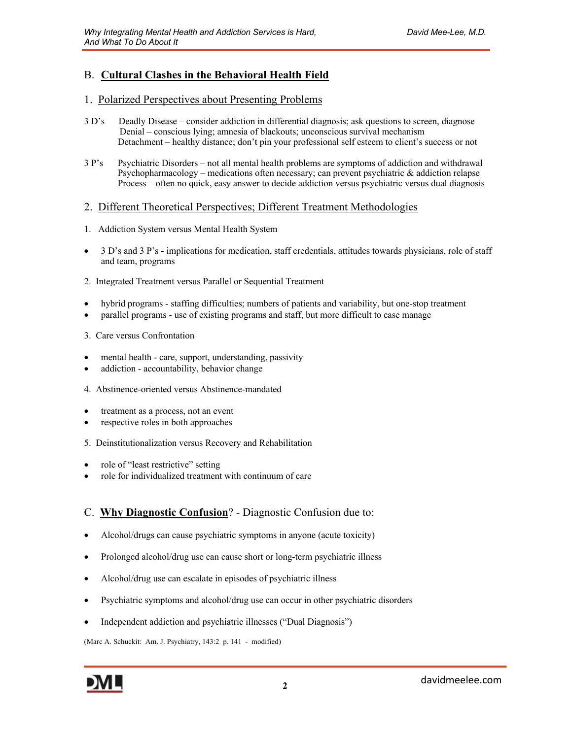## B. **Cultural Clashes in the Behavioral Health Field**

#### 1. Polarized Perspectives about Presenting Problems

- 3 D's Deadly Disease consider addiction in differential diagnosis; ask questions to screen, diagnose Denial – conscious lying; amnesia of blackouts; unconscious survival mechanism Detachment – healthy distance; don't pin your professional self esteem to client's success or not
- 3 P's Psychiatric Disorders not all mental health problems are symptoms of addiction and withdrawal Psychopharmacology – medications often necessary; can prevent psychiatric & addiction relapse Process – often no quick, easy answer to decide addiction versus psychiatric versus dual diagnosis

#### 2. Different Theoretical Perspectives; Different Treatment Methodologies

- 1. Addiction System versus Mental Health System
- 3 D's and 3 P's implications for medication, staff credentials, attitudes towards physicians, role of staff and team, programs
- 2. Integrated Treatment versus Parallel or Sequential Treatment
- hybrid programs staffing difficulties; numbers of patients and variability, but one-stop treatment
- parallel programs use of existing programs and staff, but more difficult to case manage
- 3. Care versus Confrontation
- mental health care, support, understanding, passivity
- addiction accountability, behavior change
- 4. Abstinence-oriented versus Abstinence-mandated
- treatment as a process, not an event
- respective roles in both approaches
- 5. Deinstitutionalization versus Recovery and Rehabilitation
- role of "least restrictive" setting
- role for individualized treatment with continuum of care

### C. **Why Diagnostic Confusion**? - Diagnostic Confusion due to:

- Alcohol/drugs can cause psychiatric symptoms in anyone (acute toxicity)
- Prolonged alcohol/drug use can cause short or long-term psychiatric illness
- Alcohol/drug use can escalate in episodes of psychiatric illness
- Psychiatric symptoms and alcohol/drug use can occur in other psychiatric disorders
- Independent addiction and psychiatric illnesses ("Dual Diagnosis")

(Marc A. Schuckit: Am. J. Psychiatry, 143:2 p. 141 - modified)

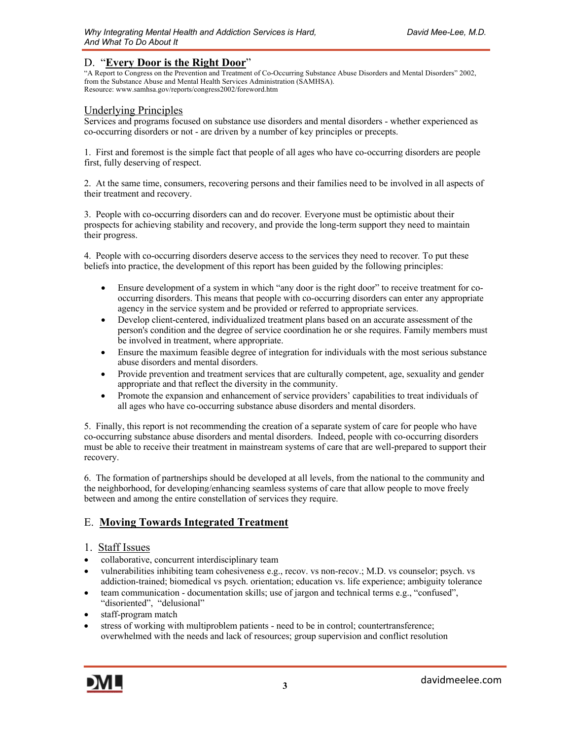### D. "**Every Door is the Right Door**"

"A Report to Congress on the Prevention and Treatment of Co-Occurring Substance Abuse Disorders and Mental Disorders" 2002, from the Substance Abuse and Mental Health Services Administration (SAMHSA). Resource: www.samhsa.gov/reports/congress2002/foreword.htm

#### Underlying Principles

Services and programs focused on substance use disorders and mental disorders - whether experienced as co-occurring disorders or not - are driven by a number of key principles or precepts.

1. First and foremost is the simple fact that people of all ages who have co-occurring disorders are people first, fully deserving of respect.

2. At the same time, consumers, recovering persons and their families need to be involved in all aspects of their treatment and recovery.

3. People with co-occurring disorders can and do recover*.* Everyone must be optimistic about their prospects for achieving stability and recovery, and provide the long-term support they need to maintain their progress.

4. People with co-occurring disorders deserve access to the services they need to recover*.* To put these beliefs into practice, the development of this report has been guided by the following principles:

- Ensure development of a system in which "any door is the right door" to receive treatment for cooccurring disorders. This means that people with co-occurring disorders can enter any appropriate agency in the service system and be provided or referred to appropriate services.
- Develop client-centered, individualized treatment plans based on an accurate assessment of the person's condition and the degree of service coordination he or she requires. Family members must be involved in treatment, where appropriate.
- Ensure the maximum feasible degree of integration for individuals with the most serious substance abuse disorders and mental disorders.
- Provide prevention and treatment services that are culturally competent, age, sexuality and gender appropriate and that reflect the diversity in the community.
- Promote the expansion and enhancement of service providers' capabilities to treat individuals of all ages who have co-occurring substance abuse disorders and mental disorders.

5. Finally, this report is not recommending the creation of a separate system of care for people who have co-occurring substance abuse disorders and mental disorders. Indeed, people with co-occurring disorders must be able to receive their treatment in mainstream systems of care that are well-prepared to support their recovery.

6. The formation of partnerships should be developed at all levels, from the national to the community and the neighborhood, for developing/enhancing seamless systems of care that allow people to move freely between and among the entire constellation of services they require.

### E. **Moving Towards Integrated Treatment**

#### 1. Staff Issues

- collaborative, concurrent interdisciplinary team
- vulnerabilities inhibiting team cohesiveness e.g., recov. vs non-recov.; M.D. vs counselor; psych. vs addiction-trained; biomedical vs psych. orientation; education vs. life experience; ambiguity tolerance
- team communication documentation skills; use of jargon and technical terms e.g., "confused", "disoriented", "delusional"
- staff-program match
- stress of working with multiproblem patients need to be in control; countertransference; overwhelmed with the needs and lack of resources; group supervision and conflict resolution

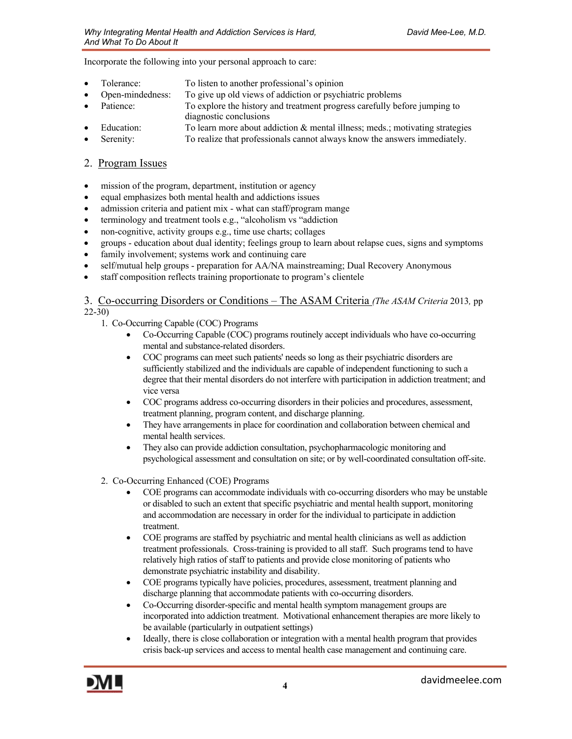Incorporate the following into your personal approach to care:

- Tolerance: To listen to another professional's opinion
- Open-mindedness: To give up old views of addiction or psychiatric problems
- Patience: To explore the history and treatment progress carefully before jumping to
- diagnostic conclusions
- Education: To learn more about addiction & mental illness; meds.; motivating strategies
- Serenity: To realize that professionals cannot always know the answers immediately.

#### 2. Program Issues

- mission of the program, department, institution or agency
- equal emphasizes both mental health and addictions issues
- admission criteria and patient mix what can staff/program mange
- terminology and treatment tools e.g., "alcoholism vs "addiction
- non-cognitive, activity groups e.g., time use charts; collages
- groups education about dual identity; feelings group to learn about relapse cues, signs and symptoms
- family involvement; systems work and continuing care
- self/mutual help groups preparation for AA/NA mainstreaming; Dual Recovery Anonymous
- staff composition reflects training proportionate to program's clientele

3. Co-occurring Disorders or Conditions – The ASAM Criteria *(The ASAM Criteria* 2013*,* pp 22-30)

- 1. Co-Occurring Capable (COC) Programs
	- Co-Occurring Capable (COC) programs routinely accept individuals who have co-occurring mental and substance-related disorders.
	- COC programs can meet such patients' needs so long as their psychiatric disorders are sufficiently stabilized and the individuals are capable of independent functioning to such a degree that their mental disorders do not interfere with participation in addiction treatment; and vice versa
	- COC programs address co-occurring disorders in their policies and procedures, assessment, treatment planning, program content, and discharge planning.
	- They have arrangements in place for coordination and collaboration between chemical and mental health services.
	- They also can provide addiction consultation, psychopharmacologic monitoring and psychological assessment and consultation on site; or by well-coordinated consultation off-site.
- 2. Co-Occurring Enhanced (COE) Programs
	- COE programs can accommodate individuals with co-occurring disorders who may be unstable or disabled to such an extent that specific psychiatric and mental health support, monitoring and accommodation are necessary in order for the individual to participate in addiction treatment.
	- COE programs are staffed by psychiatric and mental health clinicians as well as addiction treatment professionals. Cross-training is provided to all staff. Such programs tend to have relatively high ratios of staff to patients and provide close monitoring of patients who demonstrate psychiatric instability and disability.
	- COE programs typically have policies, procedures, assessment, treatment planning and discharge planning that accommodate patients with co-occurring disorders.
	- Co-Occurring disorder-specific and mental health symptom management groups are incorporated into addiction treatment. Motivational enhancement therapies are more likely to be available (particularly in outpatient settings)
	- Ideally, there is close collaboration or integration with a mental health program that provides crisis back-up services and access to mental health case management and continuing care.